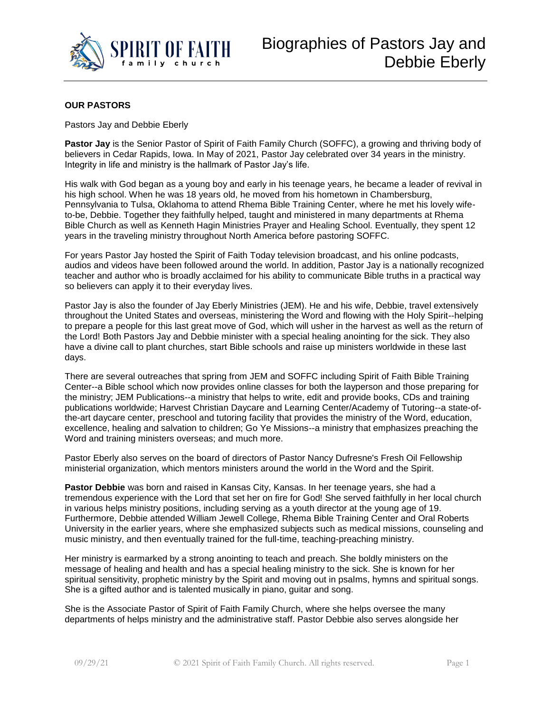

## **OUR PASTORS**

Pastors Jay and Debbie Eberly

**Pastor Jay** is the Senior Pastor of Spirit of Faith Family Church (SOFFC), a growing and thriving body of believers in Cedar Rapids, Iowa. In May of 2021, Pastor Jay celebrated over 34 years in the ministry. Integrity in life and ministry is the hallmark of Pastor Jay's life.

His walk with God began as a young boy and early in his teenage years, he became a leader of revival in his high school. When he was 18 years old, he moved from his hometown in Chambersburg, Pennsylvania to Tulsa, Oklahoma to attend Rhema Bible Training Center, where he met his lovely wifeto-be, Debbie. Together they faithfully helped, taught and ministered in many departments at Rhema Bible Church as well as Kenneth Hagin Ministries Prayer and Healing School. Eventually, they spent 12 years in the traveling ministry throughout North America before pastoring SOFFC.

For years Pastor Jay hosted the Spirit of Faith Today television broadcast, and his online podcasts, audios and videos have been followed around the world. In addition, Pastor Jay is a nationally recognized teacher and author who is broadly acclaimed for his ability to communicate Bible truths in a practical way so believers can apply it to their everyday lives.

Pastor Jay is also the founder of Jay Eberly Ministries (JEM). He and his wife, Debbie, travel extensively throughout the United States and overseas, ministering the Word and flowing with the Holy Spirit--helping to prepare a people for this last great move of God, which will usher in the harvest as well as the return of the Lord! Both Pastors Jay and Debbie minister with a special healing anointing for the sick. They also have a divine call to plant churches, start Bible schools and raise up ministers worldwide in these last days.

There are several outreaches that spring from JEM and SOFFC including Spirit of Faith Bible Training Center--a Bible school which now provides online classes for both the layperson and those preparing for the ministry; JEM Publications--a ministry that helps to write, edit and provide books, CDs and training publications worldwide; Harvest Christian Daycare and Learning Center/Academy of Tutoring--a state-ofthe-art daycare center, preschool and tutoring facility that provides the ministry of the Word, education, excellence, healing and salvation to children; Go Ye Missions--a ministry that emphasizes preaching the Word and training ministers overseas; and much more.

Pastor Eberly also serves on the board of directors of Pastor Nancy Dufresne's Fresh Oil Fellowship ministerial organization, which mentors ministers around the world in the Word and the Spirit.

**Pastor Debbie** was born and raised in Kansas City, Kansas. In her teenage years, she had a tremendous experience with the Lord that set her on fire for God! She served faithfully in her local church in various helps ministry positions, including serving as a youth director at the young age of 19. Furthermore, Debbie attended William Jewell College, Rhema Bible Training Center and Oral Roberts University in the earlier years, where she emphasized subjects such as medical missions, counseling and music ministry, and then eventually trained for the full-time, teaching-preaching ministry.

Her ministry is earmarked by a strong anointing to teach and preach. She boldly ministers on the message of healing and health and has a special healing ministry to the sick. She is known for her spiritual sensitivity, prophetic ministry by the Spirit and moving out in psalms, hymns and spiritual songs. She is a gifted author and is talented musically in piano, guitar and song.

She is the Associate Pastor of Spirit of Faith Family Church, where she helps oversee the many departments of helps ministry and the administrative staff. Pastor Debbie also serves alongside her